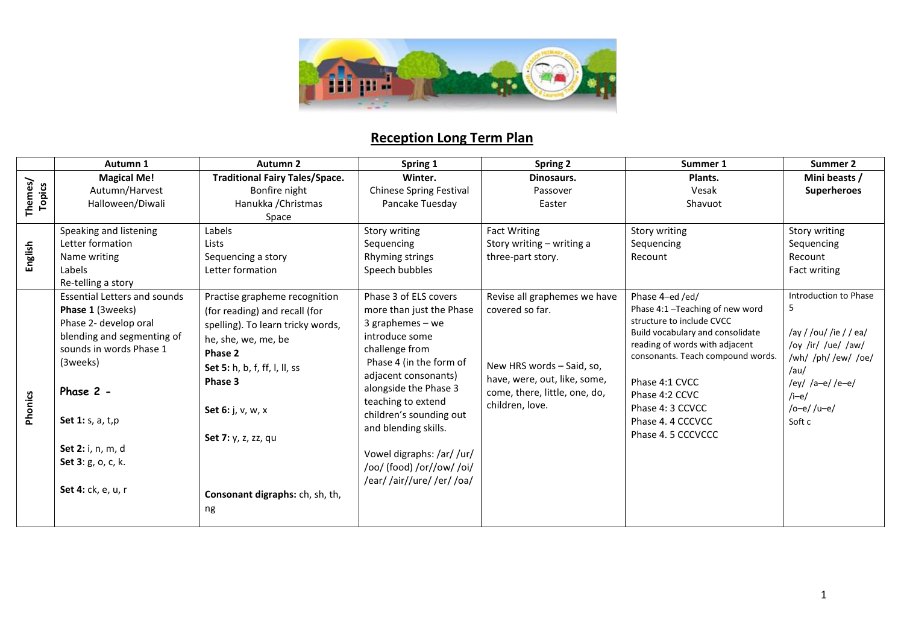

# **Reception Long Term Plan**

|                          | Autumn 1                            | Autumn <sub>2</sub>                   | Spring 1                       | Spring 2                      | Summer 1                                                            | Summer 2                   |
|--------------------------|-------------------------------------|---------------------------------------|--------------------------------|-------------------------------|---------------------------------------------------------------------|----------------------------|
|                          | <b>Magical Me!</b>                  | <b>Traditional Fairy Tales/Space.</b> | Winter.                        | Dinosaurs.                    | Plants.                                                             | Mini beasts /              |
|                          | Autumn/Harvest                      | Bonfire night                         | <b>Chinese Spring Festival</b> | Passover                      | Vesak                                                               | <b>Superheroes</b>         |
| Themes/<br><b>Topics</b> | Halloween/Diwali                    | Hanukka / Christmas                   | Pancake Tuesday                | Easter                        | Shavuot                                                             |                            |
|                          |                                     | Space                                 |                                |                               |                                                                     |                            |
|                          | Speaking and listening              | Labels                                | Story writing                  | <b>Fact Writing</b>           | Story writing                                                       | Story writing              |
| English                  | Letter formation                    | Lists                                 | Sequencing                     | Story writing - writing a     | Sequencing                                                          | Sequencing                 |
|                          | Name writing                        | Sequencing a story                    | Rhyming strings                | three-part story.             | Recount                                                             | Recount                    |
|                          | Labels                              | Letter formation                      | Speech bubbles                 |                               |                                                                     | Fact writing               |
|                          | Re-telling a story                  |                                       |                                |                               |                                                                     |                            |
|                          | <b>Essential Letters and sounds</b> | Practise grapheme recognition         | Phase 3 of ELS covers          | Revise all graphemes we have  | Phase 4-ed /ed/                                                     | Introduction to Phase      |
|                          | Phase 1 (3weeks)                    | (for reading) and recall (for         | more than just the Phase       | covered so far.               | Phase 4:1-Teaching of new word                                      | -5                         |
|                          | Phase 2- develop oral               | spelling). To learn tricky words,     | $3$ graphemes – we             |                               | structure to include CVCC                                           |                            |
|                          | blending and segmenting of          | he, she, we, me, be                   | introduce some                 |                               | Build vocabulary and consolidate                                    | /ay / /ou/ /ie / / ea/     |
|                          | sounds in words Phase 1             | Phase 2                               | challenge from                 |                               | reading of words with adjacent<br>consonants. Teach compound words. | /oy /ir/ /ue/ /aw/         |
|                          | (3weeks)                            | Set 5: h, b, f, ff, l, ll, ss         | Phase 4 (in the form of        | New HRS words - Said, so,     |                                                                     | /wh/ /ph//ew/ /oe/<br>/au/ |
|                          |                                     | Phase 3                               | adjacent consonants)           | have, were, out, like, some,  | Phase 4:1 CVCC                                                      | /ey/ /a-e//e-e/            |
|                          | Phase 2 -                           |                                       | alongside the Phase 3          | come, there, little, one, do, | Phase 4:2 CCVC                                                      | $/$ i-e $/$                |
|                          |                                     | Set 6: j, v, w, x                     | teaching to extend             | children, love.               | Phase 4: 3 CCVCC                                                    | /o-e//u-e/                 |
| Phonics                  | Set 1: s, a, t, p                   |                                       | children's sounding out        |                               | Phase 4, 4 CCCVCC                                                   | Soft c                     |
|                          |                                     |                                       | and blending skills.           |                               | Phase 4.5 CCCVCCC                                                   |                            |
|                          | Set 2: i, n, m, d                   | Set 7: y, z, zz, qu                   |                                |                               |                                                                     |                            |
|                          | Set 3: g, o, c, k.                  |                                       | Vowel digraphs: /ar/ /ur/      |                               |                                                                     |                            |
|                          |                                     |                                       | /oo/ (food) /or//ow/ /oi/      |                               |                                                                     |                            |
|                          | Set 4: ck, e, u, r                  |                                       | /ear//air//ure//er//oa/        |                               |                                                                     |                            |
|                          |                                     | Consonant digraphs: ch, sh, th,       |                                |                               |                                                                     |                            |
|                          |                                     | ng                                    |                                |                               |                                                                     |                            |
|                          |                                     |                                       |                                |                               |                                                                     |                            |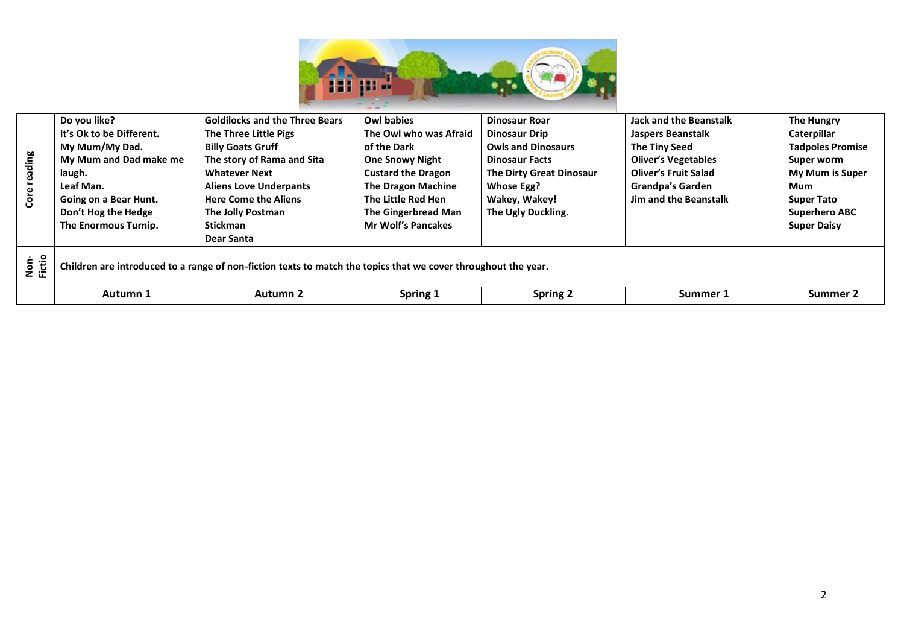

|                |                                                                                                                |                                       | --                         |                           |                               |                         |  |
|----------------|----------------------------------------------------------------------------------------------------------------|---------------------------------------|----------------------------|---------------------------|-------------------------------|-------------------------|--|
|                | Do you like?                                                                                                   | <b>Goldilocks and the Three Bears</b> | <b>Owl babies</b>          | <b>Dinosaur Roar</b>      | <b>Jack and the Beanstalk</b> | <b>The Hungry</b>       |  |
|                | It's Ok to be Different.                                                                                       | The Three Little Pigs                 | The Owl who was Afraid     | <b>Dinosaur Drip</b>      | Jaspers Beanstalk             | Caterpillar             |  |
|                | My Mum/My Dad.                                                                                                 | <b>Billy Goats Gruff</b>              | of the Dark                | <b>Owls and Dinosaurs</b> | The Tiny Seed                 | <b>Tadpoles Promise</b> |  |
| ading          | My Mum and Dad make me                                                                                         | The story of Rama and Sita            | <b>One Snowy Night</b>     | <b>Dinosaur Facts</b>     | <b>Oliver's Vegetables</b>    | Super worm              |  |
|                | laugh.                                                                                                         | <b>Whatever Next</b>                  | <b>Custard the Dragon</b>  | The Dirty Great Dinosaur  | <b>Oliver's Fruit Salad</b>   | <b>My Mum is Super</b>  |  |
|                | Leaf Man.                                                                                                      | <b>Aliens Love Underpants</b>         | <b>The Dragon Machine</b>  | <b>Whose Egg?</b>         | <b>Grandpa's Garden</b>       | Mum                     |  |
| င်္င           | Going on a Bear Hunt.                                                                                          | <b>Here Come the Aliens</b>           | The Little Red Hen         | Wakey, Wakey!             | <b>Jim and the Beanstalk</b>  | <b>Super Tato</b>       |  |
|                | Don't Hog the Hedge                                                                                            | The Jolly Postman                     | <b>The Gingerbread Man</b> | The Ugly Duckling.        |                               | <b>Superhero ABC</b>    |  |
|                | The Enormous Turnip.                                                                                           | <b>Stickman</b>                       | <b>Mr Wolf's Pancakes</b>  |                           |                               | <b>Super Daisy</b>      |  |
|                |                                                                                                                | Dear Santa                            |                            |                           |                               |                         |  |
| Non-<br>Fictio | Children are introduced to a range of non-fiction texts to match the topics that we cover throughout the year. |                                       |                            |                           |                               |                         |  |
|                | Autumn 1                                                                                                       | Autumn 2                              | Spring 1                   | <b>Spring 2</b>           | Summer 1                      | Summer 2                |  |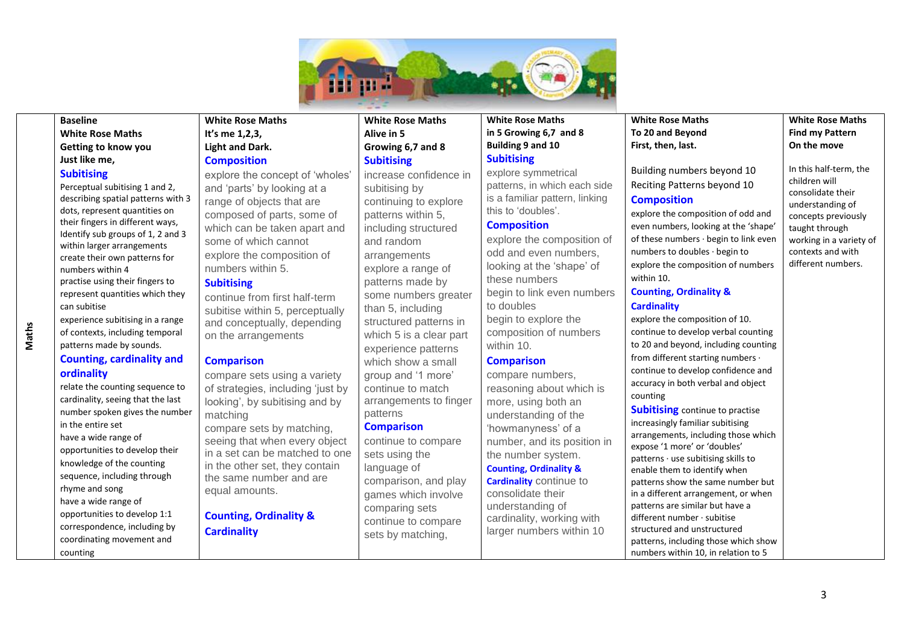

#### $\overline{a}$ **Baseline**

#### **White Rose Maths Getting to know you Just like me,**

#### **Subitising**

Perceptual subitising 1 and 2, describing spatial patterns with 3 dots, represent quantities on their fingers in different ways, Identify sub groups of 1, 2 and 3 within larger arrangements create their own patterns for numbers within 4 practise using their fingers to represent quantities which they can subitise experience subitising in a range

# **Counting, cardinality and ordinality**

of contexts, including temporal patterns made by sounds.

relate the counting sequence to cardinality, seeing that the last number spoken gives the number in the entire set have a wide range of opportunities to develop their knowledge of the counting sequence, including through rhyme and song have a wide range of opportunities to develop 1:1 correspondence, including by coordinating movement and counting

# **White Rose Maths It's me 1,2,3, Light and Dark. Composition**

explore the concept of 'wholes' and 'parts' by looking at a range of objects that are composed of parts, some of which can be taken apart and some of which cannot explore the composition of numbers within 5.

## **Subitising**

continue from first half-term subitise within 5, perceptually and conceptually, depending on the arrangements

## **Comparison**

compare sets using a variety of strategies, including 'just by looking', by subitising and by matching compare sets by matching, seeing that when every object in a set can be matched to one in the other set, they contain the same number and are equal amounts.

# **Counting, Ordinality & Cardinality**

## **White Rose Maths Alive in 5 Growing 6,7 and 8 Subitising**

increase confidence in subitising by continuing to explore patterns within 5, including structured and random **arrangements** explore a range of patterns made by some numbers greater than 5, including structured patterns in which 5 is a clear part experience patterns which show a small group and '1 more' continue to match arrangements to finger patterns **Comparison**

continue to compare sets using the language of comparison, and play games which involve comparing sets continue to compare sets by matching,

#### **White Rose Maths in 5 Growing 6,7 and 8 Building 9 and 10 Subitising**

explore symmetrical patterns, in which each side is a familiar pattern, linking this to 'doubles'.

## **Composition**

explore the composition of odd and even numbers, looking at the 'shape' of these numbers begin to link even numbers to doubles begin to explore the composition of numbers within 10.

# **Comparison**

compare numbers, reasoning about which is more, using both an understanding of the 'howmanyness' of a number, and its position in the number system. **Counting, Ordinality & Cardinality** continue to consolidate their

understanding of cardinality, working with larger numbers within 10

#### **White Rose Maths To 20 and Beyond First, then, last.**

Building numbers beyond 10 Reciting Patterns beyond 10 **Composition** explore the composition of odd and

even numbers, looking at the 'shape' of these numbers · begin to link even numbers to doubles · begin to explore the composition of numbers within 10.

# **Counting, Ordinality & Cardinality**

explore the composition of 10. continue to develop verbal counting to 20 and beyond, including counting from different starting numbers · continue to develop confidence and accuracy in both verbal and object counting

**Subitising** continue to practise increasingly familiar subitising arrangements, including those which expose '1 more' or 'doubles' patterns · use subitising skills to enable them to identify when patterns show the same number but in a different arrangement, or when patterns are similar but have a different number · subitise structured and unstructured patterns, including those which show numbers within 10, in relation to 5

**White Rose Maths Find my Pattern On the move**

In this half-term, the children will consolidate their understanding of concepts previously taught through working in a variety of contexts and with different numbers.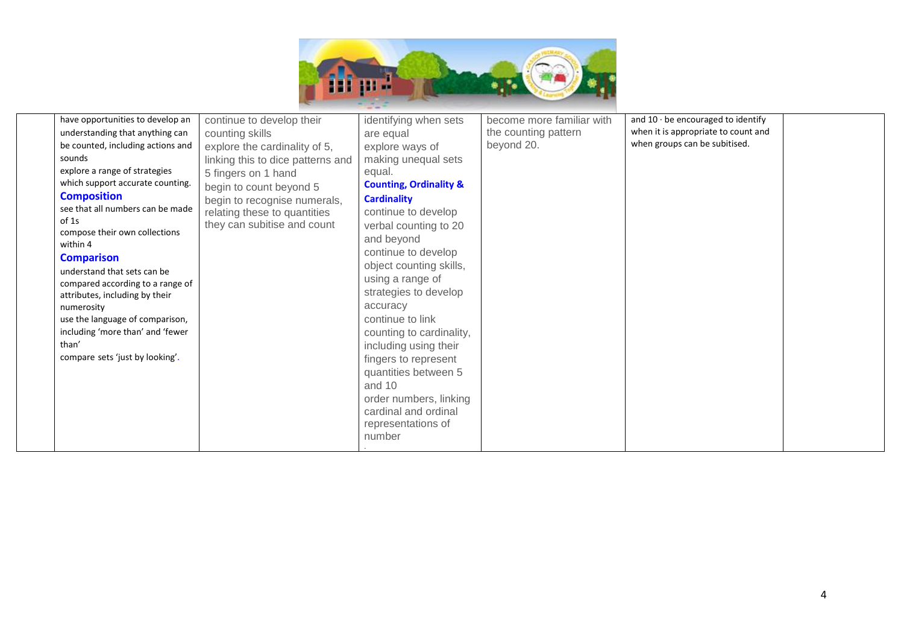

| have opportunities to develop an<br>understanding that anything can<br>be counted, including actions and<br>sounds<br>explore a range of strategies<br>which support accurate counting.<br><b>Composition</b><br>see that all numbers can be made<br>of 1s<br>compose their own collections<br>within 4<br><b>Comparison</b><br>understand that sets can be<br>compared according to a range of<br>attributes, including by their<br>numerosity | continue to develop their<br>counting skills<br>explore the cardinality of 5,<br>linking this to dice patterns and<br>5 fingers on 1 hand<br>begin to count beyond 5<br>begin to recognise numerals,<br>relating these to quantities<br>they can subitise and count | identifying when sets<br>are equal<br>explore ways of<br>making unequal sets<br>equal.<br><b>Counting, Ordinality &amp;</b><br><b>Cardinality</b><br>continue to develop<br>verbal counting to 20<br>and beyond<br>continue to develop<br>object counting skills,<br>using a range of<br>strategies to develop<br>accuracy | become more familiar with<br>the counting pattern<br>beyond 20. | and $10 \cdot$ be encouraged to identify<br>when it is appropriate to count and<br>when groups can be subitised. |  |
|-------------------------------------------------------------------------------------------------------------------------------------------------------------------------------------------------------------------------------------------------------------------------------------------------------------------------------------------------------------------------------------------------------------------------------------------------|---------------------------------------------------------------------------------------------------------------------------------------------------------------------------------------------------------------------------------------------------------------------|----------------------------------------------------------------------------------------------------------------------------------------------------------------------------------------------------------------------------------------------------------------------------------------------------------------------------|-----------------------------------------------------------------|------------------------------------------------------------------------------------------------------------------|--|
| use the language of comparison,<br>including 'more than' and 'fewer<br>than'<br>compare sets 'just by looking'.                                                                                                                                                                                                                                                                                                                                 |                                                                                                                                                                                                                                                                     | continue to link<br>counting to cardinality,<br>including using their<br>fingers to represent                                                                                                                                                                                                                              |                                                                 |                                                                                                                  |  |
|                                                                                                                                                                                                                                                                                                                                                                                                                                                 |                                                                                                                                                                                                                                                                     | quantities between 5<br>and 10<br>order numbers, linking<br>cardinal and ordinal<br>representations of<br>number                                                                                                                                                                                                           |                                                                 |                                                                                                                  |  |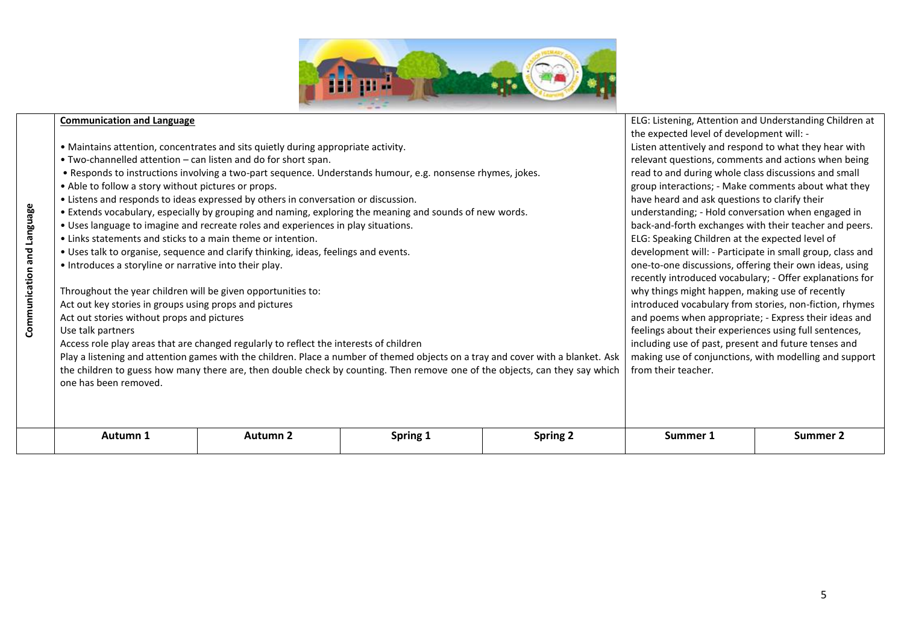

|                            | <b>Communication and Language</b>                              |                                                                                                                                  |                                                                                                            |                 | ELG: Listening, Attention and Understanding Children at   |          |  |
|----------------------------|----------------------------------------------------------------|----------------------------------------------------------------------------------------------------------------------------------|------------------------------------------------------------------------------------------------------------|-----------------|-----------------------------------------------------------|----------|--|
|                            |                                                                |                                                                                                                                  |                                                                                                            |                 | the expected level of development will: -                 |          |  |
|                            |                                                                | • Maintains attention, concentrates and sits quietly during appropriate activity.                                                | Listen attentively and respond to what they hear with                                                      |                 |                                                           |          |  |
|                            | • Two-channelled attention – can listen and do for short span. |                                                                                                                                  |                                                                                                            |                 | relevant questions, comments and actions when being       |          |  |
|                            |                                                                |                                                                                                                                  | . Responds to instructions involving a two-part sequence. Understands humour, e.g. nonsense rhymes, jokes. |                 | read to and during whole class discussions and small      |          |  |
|                            | • Able to follow a story without pictures or props.            |                                                                                                                                  |                                                                                                            |                 | group interactions; - Make comments about what they       |          |  |
|                            |                                                                | • Listens and responds to ideas expressed by others in conversation or discussion.                                               |                                                                                                            |                 | have heard and ask questions to clarify their             |          |  |
|                            |                                                                |                                                                                                                                  | . Extends vocabulary, especially by grouping and naming, exploring the meaning and sounds of new words.    |                 | understanding; - Hold conversation when engaged in        |          |  |
|                            |                                                                | • Uses language to imagine and recreate roles and experiences in play situations.                                                |                                                                                                            |                 | back-and-forth exchanges with their teacher and peers.    |          |  |
|                            | • Links statements and sticks to a main theme or intention.    |                                                                                                                                  |                                                                                                            |                 | ELG: Speaking Children at the expected level of           |          |  |
|                            |                                                                | . Uses talk to organise, sequence and clarify thinking, ideas, feelings and events.                                              |                                                                                                            |                 | development will: - Participate in small group, class and |          |  |
|                            | • Introduces a storyline or narrative into their play.         |                                                                                                                                  | one-to-one discussions, offering their own ideas, using                                                    |                 |                                                           |          |  |
|                            |                                                                |                                                                                                                                  |                                                                                                            |                 | recently introduced vocabulary; - Offer explanations for  |          |  |
|                            | Throughout the year children will be given opportunities to:   |                                                                                                                                  | why things might happen, making use of recently                                                            |                 |                                                           |          |  |
| Communication and Language | Act out key stories in groups using props and pictures         |                                                                                                                                  | introduced vocabulary from stories, non-fiction, rhymes                                                    |                 |                                                           |          |  |
|                            | Act out stories without props and pictures                     |                                                                                                                                  | and poems when appropriate; - Express their ideas and                                                      |                 |                                                           |          |  |
|                            | Use talk partners                                              |                                                                                                                                  | feelings about their experiences using full sentences,                                                     |                 |                                                           |          |  |
|                            |                                                                | Access role play areas that are changed regularly to reflect the interests of children                                           | including use of past, present and future tenses and                                                       |                 |                                                           |          |  |
|                            |                                                                | Play a listening and attention games with the children. Place a number of themed objects on a tray and cover with a blanket. Ask | making use of conjunctions, with modelling and support                                                     |                 |                                                           |          |  |
|                            |                                                                | the children to guess how many there are, then double check by counting. Then remove one of the objects, can they say which      | from their teacher.                                                                                        |                 |                                                           |          |  |
|                            | one has been removed.                                          |                                                                                                                                  |                                                                                                            |                 |                                                           |          |  |
|                            |                                                                |                                                                                                                                  |                                                                                                            |                 |                                                           |          |  |
|                            |                                                                |                                                                                                                                  |                                                                                                            |                 |                                                           |          |  |
|                            |                                                                |                                                                                                                                  |                                                                                                            |                 |                                                           |          |  |
|                            | Autumn 1                                                       | Autumn 2                                                                                                                         | Spring 1                                                                                                   | <b>Spring 2</b> | Summer 1                                                  | Summer 2 |  |
|                            |                                                                |                                                                                                                                  |                                                                                                            |                 |                                                           |          |  |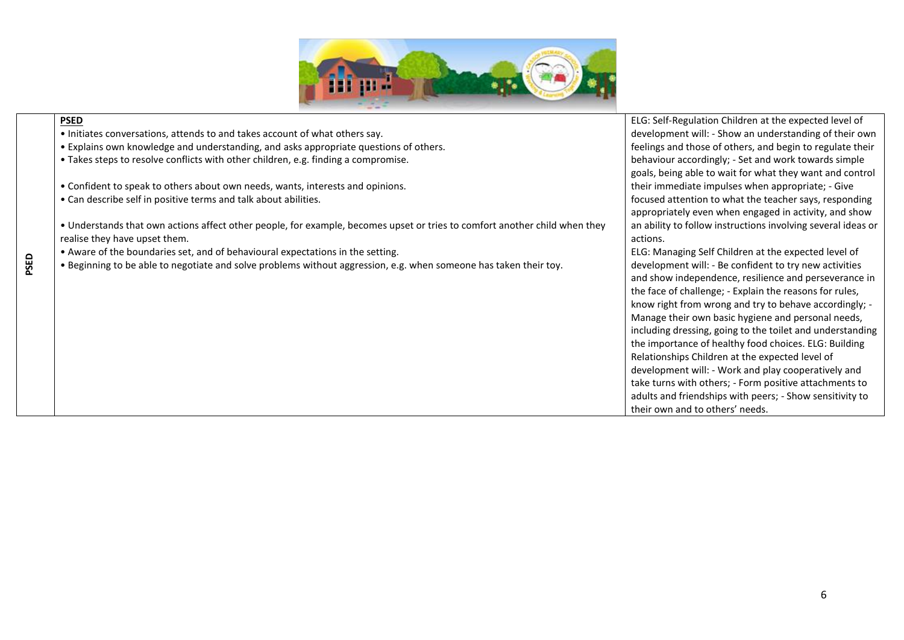

|      | <b>PSED</b>                                                                                                                | <b>ELG</b> |
|------|----------------------------------------------------------------------------------------------------------------------------|------------|
|      | • Initiates conversations, attends to and takes account of what others say.                                                | dev        |
|      | . Explains own knowledge and understanding, and asks appropriate questions of others.                                      | fee        |
|      | • Takes steps to resolve conflicts with other children, e.g. finding a compromise.                                         | ber        |
|      |                                                                                                                            | goa        |
|      | • Confident to speak to others about own needs, wants, interests and opinions.                                             | the        |
|      | • Can describe self in positive terms and talk about abilities.                                                            | foc        |
|      |                                                                                                                            | app        |
|      | • Understands that own actions affect other people, for example, becomes upset or tries to comfort another child when they | an a       |
|      | realise they have upset them.                                                                                              | acti       |
|      | • Aware of the boundaries set, and of behavioural expectations in the setting.                                             | <b>ELG</b> |
| PSED | . Beginning to be able to negotiate and solve problems without aggression, e.g. when someone has taken their toy.          | dev        |
|      |                                                                                                                            | anc        |
|      |                                                                                                                            | the        |
|      |                                                                                                                            | knc        |
|      |                                                                                                                            | Ma         |
|      |                                                                                                                            | incl       |
|      |                                                                                                                            | the        |
|      |                                                                                                                            | Rel        |
|      |                                                                                                                            | dev        |
|      |                                                                                                                            | tak        |
|      |                                                                                                                            | adu        |
|      |                                                                                                                            | the        |

G: Self-Regulation Children at the expected level of velopment will: - Show an understanding of their own lings and those of others, and begin to regulate their haviour accordingly; - Set and work towards simple als, being able to wait for what they want and control eir immediate impulses when appropriate; - Give tused attention to what the teacher says, responding propriately even when engaged in activity, and show ability to follow instructions involving several ideas or ions.

G: Managing Self Children at the expected level of velopment will: - Be confident to try new activities d show independence, resilience and perseverance in face of challenge; - Explain the reasons for rules, ow right from wrong and try to behave accordingly; anage their own basic hygiene and personal needs, luding dressing, going to the toilet and understanding importance of healthy food choices. ELG: Building lationships Children at the expected level of velopment will: - Work and play cooperatively and te turns with others; - Form positive attachments to ults and friendships with peers; - Show sensitivity to eir own and to others' needs.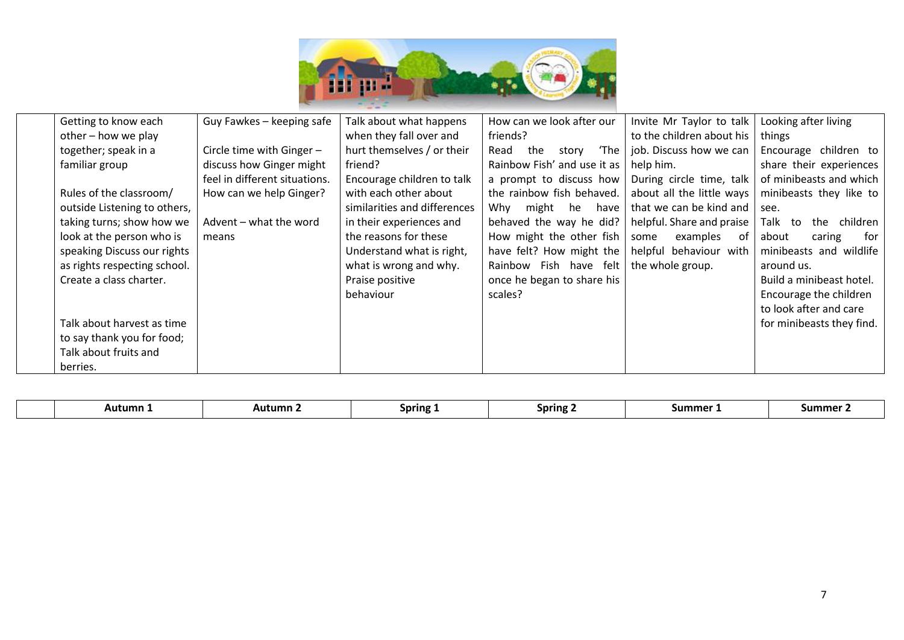

| Getting to know each         | Guy Fawkes - keeping safe     | Talk about what happens      | How can we look after our    | Invite Mr Taylor to talk  | Looking after living       |
|------------------------------|-------------------------------|------------------------------|------------------------------|---------------------------|----------------------------|
| other - how we play          |                               | when they fall over and      | friends?                     | to the children about his | things                     |
| together; speak in a         | Circle time with Ginger $-$   | hurt themselves / or their   | 'The<br>Read<br>the<br>story | job. Discuss how we can   | Encourage children to      |
| familiar group               | discuss how Ginger might      | friend?                      | Rainbow Fish' and use it as  | help him.                 | share their experiences    |
|                              | feel in different situations. | Encourage children to talk   | a prompt to discuss how      | During circle time, talk  | of minibeasts and which    |
| Rules of the classroom/      | How can we help Ginger?       | with each other about        | the rainbow fish behaved.    | about all the little ways | minibeasts they like to    |
| outside Listening to others, |                               | similarities and differences | he<br>Why might<br>have      | that we can be kind and   | see.                       |
| taking turns; show how we    | Advent - what the word        | in their experiences and     | behaved the way he did?      | helpful. Share and praise | Talk to<br>the<br>children |
| look at the person who is    | means                         | the reasons for these        | How might the other fish     | examples<br>some<br>. of  | about<br>for<br>caring     |
| speaking Discuss our rights  |                               | Understand what is right,    | have felt? How might the     | helpful behaviour with    | minibeasts and wildlife    |
| as rights respecting school. |                               | what is wrong and why.       | Rainbow Fish have felt       | the whole group.          | around us.                 |
| Create a class charter.      |                               | Praise positive              | once he began to share his   |                           | Build a minibeast hotel.   |
|                              |                               | behaviour                    | scales?                      |                           | Encourage the children     |
|                              |                               |                              |                              |                           | to look after and care     |
| Talk about harvest as time   |                               |                              |                              |                           | for minibeasts they find.  |
| to say thank you for food;   |                               |                              |                              |                           |                            |
| Talk about fruits and        |                               |                              |                              |                           |                            |
| berries.                     |                               |                              |                              |                           |                            |

|  | Aut<br><b>umn</b> - | Autumn | Spring | Spring | summer | .umm |
|--|---------------------|--------|--------|--------|--------|------|
|--|---------------------|--------|--------|--------|--------|------|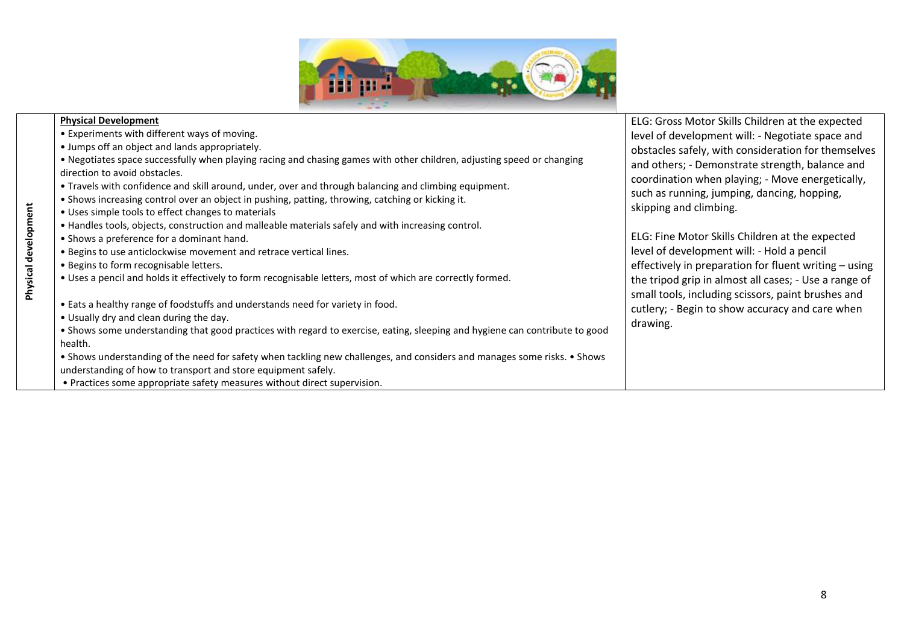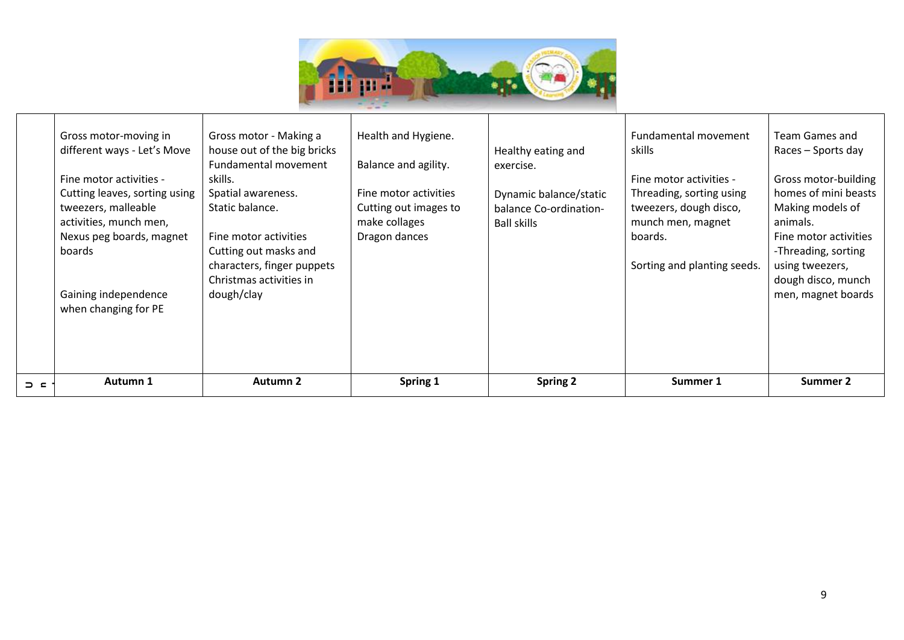

|             | Gross motor-moving in<br>different ways - Let's Move<br>Fine motor activities -<br>Cutting leaves, sorting using<br>tweezers, malleable<br>activities, munch men,<br>Nexus peg boards, magnet<br>boards<br>Gaining independence<br>when changing for PE | Gross motor - Making a<br>house out of the big bricks<br>Fundamental movement<br>skills.<br>Spatial awareness.<br>Static balance.<br>Fine motor activities<br>Cutting out masks and<br>characters, finger puppets<br>Christmas activities in<br>dough/clay | Health and Hygiene.<br>Balance and agility.<br>Fine motor activities<br>Cutting out images to<br>make collages<br>Dragon dances | Healthy eating and<br>exercise.<br>Dynamic balance/static<br>balance Co-ordination-<br><b>Ball skills</b> | Fundamental movement<br>skills<br>Fine motor activities -<br>Threading, sorting using<br>tweezers, dough disco,<br>munch men, magnet<br>boards.<br>Sorting and planting seeds. | Team Games and<br>Races – Sports day<br>Gross motor-building<br>homes of mini beasts<br>Making models of<br>animals.<br>Fine motor activities<br>-Threading, sorting<br>using tweezers,<br>dough disco, munch<br>men, magnet boards |
|-------------|---------------------------------------------------------------------------------------------------------------------------------------------------------------------------------------------------------------------------------------------------------|------------------------------------------------------------------------------------------------------------------------------------------------------------------------------------------------------------------------------------------------------------|---------------------------------------------------------------------------------------------------------------------------------|-----------------------------------------------------------------------------------------------------------|--------------------------------------------------------------------------------------------------------------------------------------------------------------------------------|-------------------------------------------------------------------------------------------------------------------------------------------------------------------------------------------------------------------------------------|
| $\supset$ c | Autumn 1                                                                                                                                                                                                                                                | <b>Autumn 2</b>                                                                                                                                                                                                                                            | Spring 1                                                                                                                        | <b>Spring 2</b>                                                                                           | Summer 1                                                                                                                                                                       | <b>Summer 2</b>                                                                                                                                                                                                                     |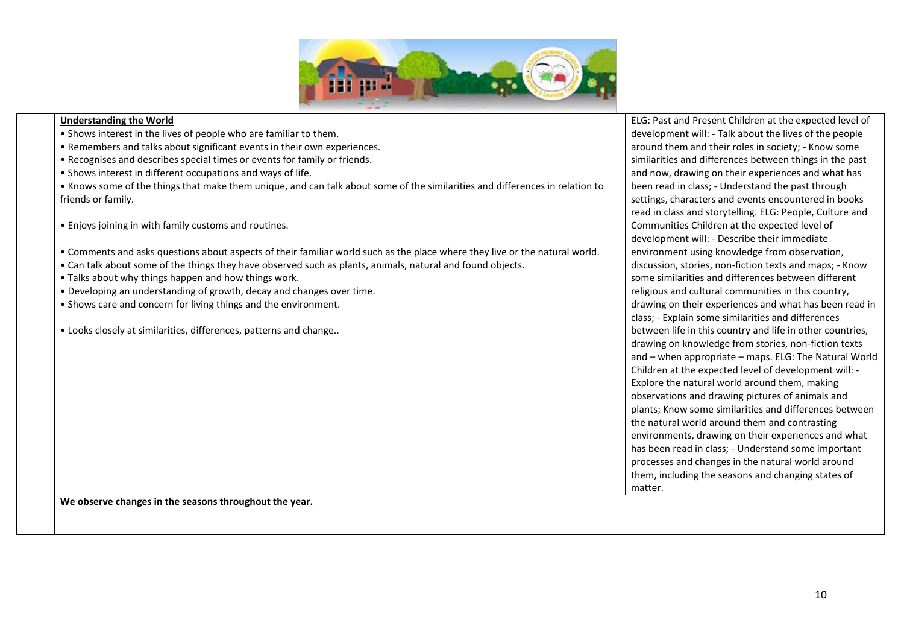

#### $\overline{a}$ **Understanding the World**

- Shows interest in the lives of people who are familiar to them.
- Remembers and talks about significant events in their own experiences.
- Recognises and describes special times or events for family or friends.
- Shows interest in different occupations and ways of life.
- Knows some of the things that make them unique, and can talk about some of the similarities and differences in relation to friends or family.
- Enjoys joining in with family customs and routines.
- Comments and asks questions about aspects of their familiar world such as the place where they live or the natural world.
- Can talk about some of the things they have observed such as plants, animals, natural and found objects.
- Talks about why things happen and how things work.
- Developing an understanding of growth, decay and changes over time.
- Shows care and concern for living things and the environment.
- Looks closely at similarities, differences, patterns and change..

ELG: Past and Present Children at the expected level of development will: - Talk about the lives of the people around them and their roles in society; - Know some similarities and differences between things in the past and now, drawing on their experiences and what has been read in class; - Understand the past through settings, characters and events encountered in books read in class and storytelling. ELG: People, Culture and Communities Children at the expected level of development will: - Describe their immediate environment using knowledge from observation, discussion, stories, non-fiction texts and maps; - Know some similarities and differences between different religious and cultural communities in this country, drawing on their experiences and what has been read in class; - Explain some similarities and differences between life in this country and life in other countries, drawing on knowledge from stories, non-fiction texts and – when appropriate – maps. ELG: The Natural World Children at the expected level of development will: - Explore the natural world around them, making observations and drawing pictures of animals and plants; Know some similarities and differences between the natural world around them and contrasting environments, drawing on their experiences and what has been read in class; - Understand some important processes and changes in the natural world around them, including the seasons and changing states of matter.

**We observe changes in the seasons throughout the year.**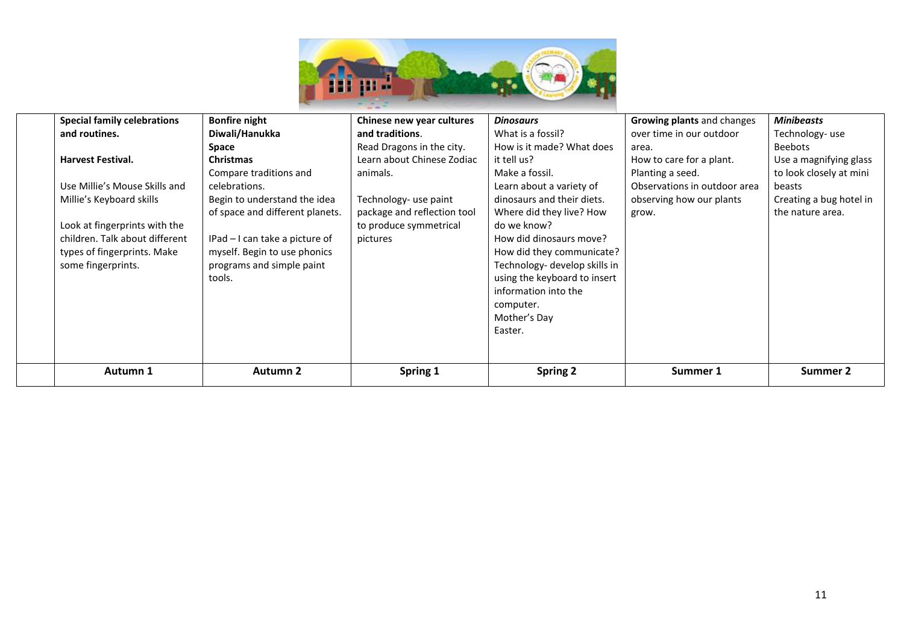

| <b>Special family celebrations</b> | <b>Bonfire night</b>            | Chinese new year cultures   | <b>Dinosaurs</b>              | <b>Growing plants and changes</b> | <b>Minibeasts</b>       |
|------------------------------------|---------------------------------|-----------------------------|-------------------------------|-----------------------------------|-------------------------|
| and routines.                      | Diwali/Hanukka                  | and traditions.             | What is a fossil?             | over time in our outdoor          | Technology-use          |
|                                    | Space                           | Read Dragons in the city.   | How is it made? What does     | area.                             | Beebots                 |
| <b>Harvest Festival.</b>           | <b>Christmas</b>                | Learn about Chinese Zodiac  | it tell us?                   | How to care for a plant.          | Use a magnifying glass  |
|                                    | Compare traditions and          | animals.                    | Make a fossil.                | Planting a seed.                  | to look closely at mini |
| Use Millie's Mouse Skills and      | celebrations.                   |                             | Learn about a variety of      | Observations in outdoor area      | beasts                  |
| Millie's Keyboard skills           | Begin to understand the idea    | Technology- use paint       | dinosaurs and their diets.    | observing how our plants          | Creating a bug hotel in |
|                                    | of space and different planets. | package and reflection tool | Where did they live? How      | grow.                             | the nature area.        |
| Look at fingerprints with the      |                                 | to produce symmetrical      | do we know?                   |                                   |                         |
| children. Talk about different     | IPad – I can take a picture of  | pictures                    | How did dinosaurs move?       |                                   |                         |
| types of fingerprints. Make        | myself. Begin to use phonics    |                             | How did they communicate?     |                                   |                         |
| some fingerprints.                 | programs and simple paint       |                             | Technology- develop skills in |                                   |                         |
|                                    | tools.                          |                             | using the keyboard to insert  |                                   |                         |
|                                    |                                 |                             | information into the          |                                   |                         |
|                                    |                                 |                             | computer.                     |                                   |                         |
|                                    |                                 |                             | Mother's Day                  |                                   |                         |
|                                    |                                 |                             | Easter.                       |                                   |                         |
|                                    |                                 |                             |                               |                                   |                         |
|                                    |                                 |                             |                               |                                   |                         |
| <b>Autumn 1</b>                    | <b>Autumn 2</b>                 | Spring 1                    | <b>Spring 2</b>               | Summer 1                          | Summer 2                |
|                                    |                                 |                             |                               |                                   |                         |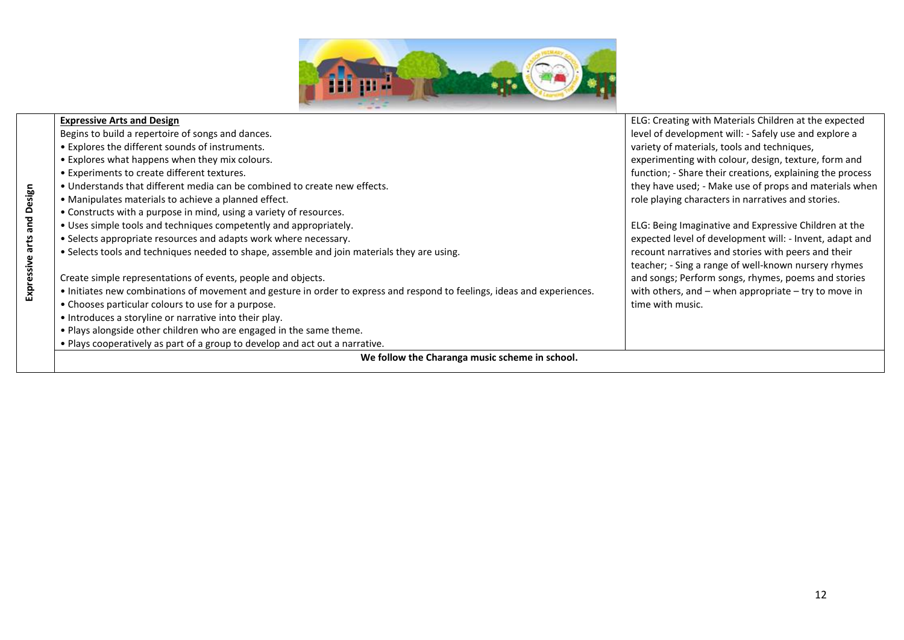

|                 | <b>Expressive Arts and Design</b>                                                                                        | ELG: Creating with Materials Children at the expected     |
|-----------------|--------------------------------------------------------------------------------------------------------------------------|-----------------------------------------------------------|
|                 | Begins to build a repertoire of songs and dances.                                                                        | level of development will: - Safely use and explore a     |
|                 | • Explores the different sounds of instruments.                                                                          | variety of materials, tools and techniques,               |
|                 | • Explores what happens when they mix colours.                                                                           | experimenting with colour, design, texture, form and      |
|                 | • Experiments to create different textures.                                                                              | function; - Share their creations, explaining the process |
|                 | • Understands that different media can be combined to create new effects.                                                | they have used; - Make use of props and materials when    |
|                 | • Manipulates materials to achieve a planned effect.                                                                     | role playing characters in narratives and stories.        |
|                 | • Constructs with a purpose in mind, using a variety of resources.                                                       |                                                           |
| and Design      | • Uses simple tools and techniques competently and appropriately.                                                        | ELG: Being Imaginative and Expressive Children at the     |
|                 | • Selects appropriate resources and adapts work where necessary.                                                         | expected level of development will: - Invent, adapt and   |
| Expressive arts | . Selects tools and techniques needed to shape, assemble and join materials they are using.                              | recount narratives and stories with peers and their       |
|                 |                                                                                                                          | teacher; - Sing a range of well-known nursery rhymes      |
|                 | Create simple representations of events, people and objects.                                                             | and songs; Perform songs, rhymes, poems and stories       |
|                 | • Initiates new combinations of movement and gesture in order to express and respond to feelings, ideas and experiences. | with others, and $-$ when appropriate $-$ try to move in  |
|                 | • Chooses particular colours to use for a purpose.                                                                       | time with music.                                          |
|                 | • Introduces a storyline or narrative into their play.                                                                   |                                                           |
|                 | . Plays alongside other children who are engaged in the same theme.                                                      |                                                           |
|                 | . Plays cooperatively as part of a group to develop and act out a narrative.                                             |                                                           |
|                 | We follow the Charanga music scheme in school.                                                                           |                                                           |